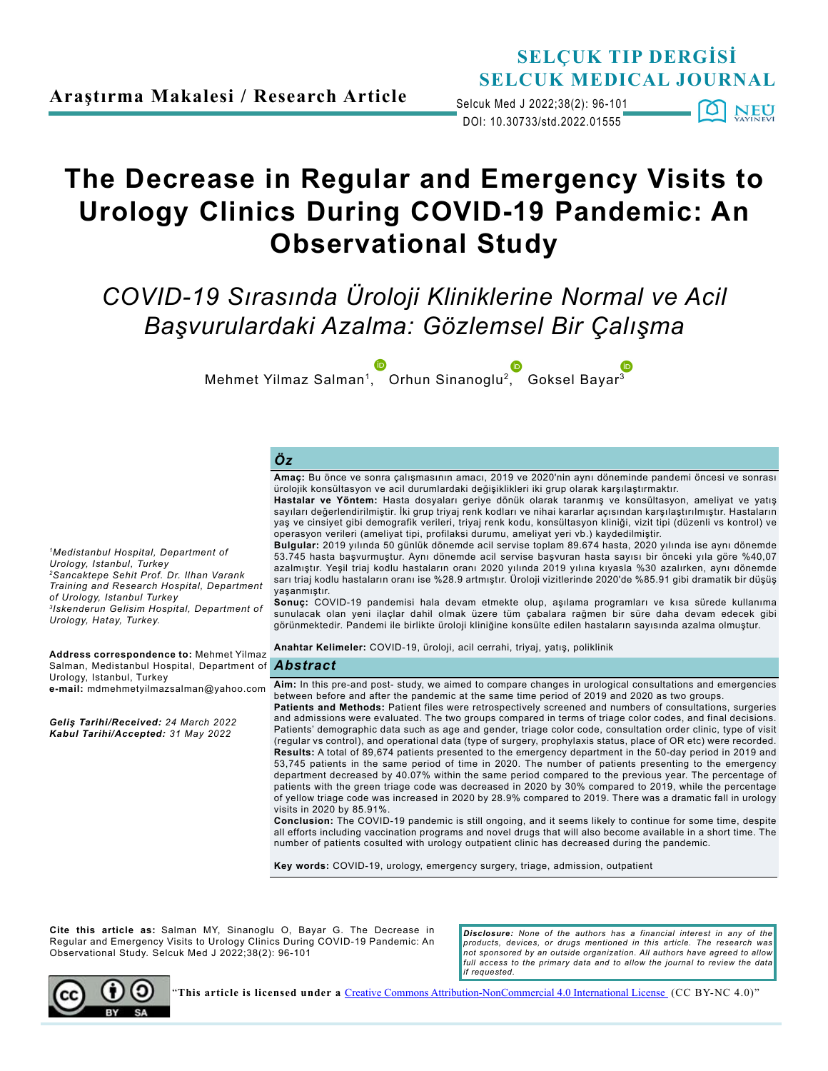**Araştırma Makalesi / Research Article**

## **SELÇUK TIP DERGİSİ SELCUK MEDICAL JOURNAL**

DOI: 10.30733/std.2022.01555 Selcuk Med J 2022;38(2): 96-101 101 **NEU** 

# **The Decrease in Regular and Emergency Visits to Urology Clinics During COVID-19 Pandemic: An Observational Study**

*COVID-19 Sırasında Üroloji Kliniklerine Normal ve Acil Başvurulardaki Azalma: Gözlemsel Bir Çalışma*

Mehmet Yilmaz Salman1[, O](http://orcid.org/0000-0002-9996-2300)rhun Sinanoglu[2,](http://orcid.org/0000-0001-6341-505X) Goksel Baya[r3](http://orcid.org/0000-0003-1506-9732)

#### *Öz*

**Amaç:** Bu önce ve sonra çalışmasının amacı, 2019 ve 2020'nin aynı döneminde pandemi öncesi ve sonrası ürolojik konsültasyon ve acil durumlardaki değişiklikleri iki grup olarak karşılaştırmaktır.

**Hastalar ve Yöntem:** Hasta dosyaları geriye dönük olarak taranmış ve konsültasyon, ameliyat ve yatış sayıları değerlendirilmiştir. İki grup triyaj renk kodları ve nihai kararlar açısından karşılaştırılmıştır. Hastaların yaş ve cinsiyet gibi demografik verileri, triyaj renk kodu, konsültasyon kliniği, vizit tipi (düzenli vs kontrol) ve

53.745 hasta başvurmuştur. Aynı dönemde acil servise başvuran hasta sayısı bir önceki yıla göre %40,07 azalmıştır. Yeşil triaj kodlu hastaların oranı 2020 yılında 2019 yılına kıyasla %30 azalırken, aynı dönemde sarı triaj kodlu hastaların oranı ise %28.9 artmıştır. Üroloji vizitlerinde 2020'de %85.91 gibi dramatik bir düşüş

**Sonuç:** COVID-19 pandemisi hala devam etmekte olup, aşılama programları ve kısa sürede kullanıma sunulacak olan yeni ilaçlar dahil olmak üzere tüm çabalara rağmen bir süre daha devam edecek gibi görünmektedir. Pandemi ile birlikte üroloji kliniğine konsülte edilen hastaların sayısında azalma olmuştur.

**Anahtar Kelimeler:** COVID-19, üroloji, acil cerrahi, triyaj, yatış, poliklinik

**Aim:** In this pre-and post- study, we aimed to compare changes in urological consultations and emergencies between before and after the pandemic at the same time period of 2019 and 2020 as two groups.

**Patients and Methods:** Patient files were retrospectively screened and numbers of consultations, surgeries and admissions were evaluated. The two groups compared in terms of triage color codes, and final decisions. Patients' demographic data such as age and gender, triage color code, consultation order clinic, type of visit (regular vs control), and operational data (type of surgery, prophylaxis status, place of OR etc) were recorded. **Results:** A total of 89,674 patients presented to the emergency department in the 50-day period in 2019 and 53,745 patients in the same period of time in 2020. The number of patients presenting to the emergency department decreased by 40.07% within the same period compared to the previous year. The percentage of patients with the green triage code was decreased in 2020 by 30% compared to 2019, while the percentage of yellow triage code was increased in 2020 by 28.9% compared to 2019. There was a dramatic fall in urology visits in 2020 by 85.91%.

**Conclusion:** The COVID-19 pandemic is still ongoing, and it seems likely to continue for some time, despite all efforts including vaccination programs and novel drugs that will also become available in a short time. The number of patients cosulted with urology outpatient clinic has decreased during the pandemic.

**Key words:** COVID-19, urology, emergency surgery, triage, admission, outpatient

**Cite this article as:** Salman MY, Sinanoglu O, Bayar G. The Decrease in Regular and Emergency Visits to Urology Clinics During COVID-19 Pandemic: An Observational Study. Selcuk Med J 2022;38(2): 96-101

*Disclosure: None of the authors has a financial interest in any of the products, devices, or drugs mentioned in this article. The research was not sponsored by an outside organization. All authors have agreed to allow*  full access to the primary data and to allow the journal to review the data *if requested.*



"**This article is licensed under a** [Creative Commons Attribution-NonCommercial 4.0 International License](https://creativecommons.org/licenses/by-nc/4.0/) (CC BY-NC 4.0)"

operasyon verileri (ameliyat tipi, profilaksi durumu, ameliyat yeri vb.) kaydedilmiştir. **Bulgular:** 2019 yılında 50 günlük dönemde acil servise toplam 89.674 hasta, 2020 yılında ise aynı dönemde *1Medistanbul Hospital, Department of* 

yaşanmıştır.

*2Sancaktepe Sehit Prof. Dr. Ilhan Varank Training and Research Hospital, Department of Urology, Istanbul Turkey 3Iskenderun Gelisim Hospital, Department of Urology, Hatay, Turkey.* 

*Abstract* Salman, Medistanbul Hospital, Department of **Address correspondence to:** Mehmet Yilmaz Urology, Istanbul, Turkey **e-mail:** mdmehmetyilmazsalman@yahoo.com

*Geliş Tarihi/Received: 24 March 2022 Kabul Tarihi/Accepted: 31 May 2022*

*Urology, Istanbul, Turkey*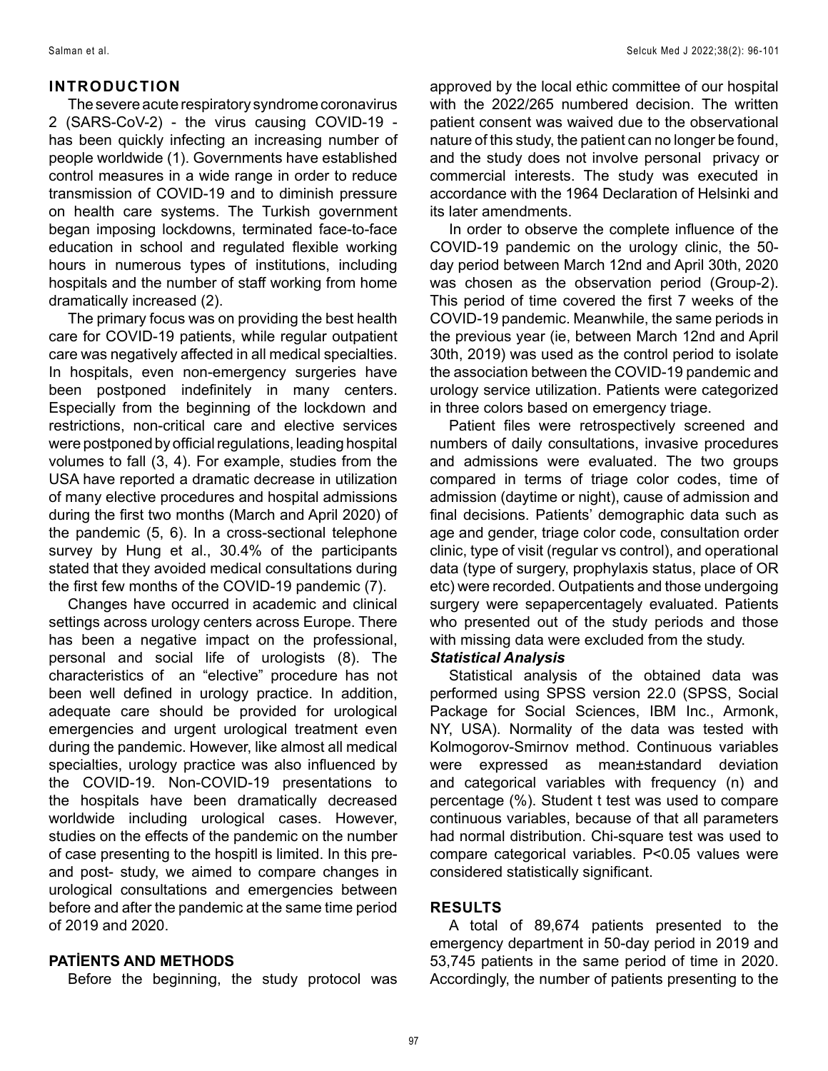#### **INTRODUCTION**

The severe acute respiratory syndrome coronavirus 2 (SARS-CoV-2) - the virus causing COVID-19 has been quickly infecting an increasing number of people worldwide (1). Governments have established control measures in a wide range in order to reduce transmission of COVID-19 and to diminish pressure on health care systems. The Turkish government began imposing lockdowns, terminated face-to-face education in school and regulated flexible working hours in numerous types of institutions, including hospitals and the number of staff working from home dramatically increased (2).

The primary focus was on providing the best health care for COVID-19 patients, while regular outpatient care was negatively affected in all medical specialties. In hospitals, even non-emergency surgeries have been postponed indefinitely in many centers. Especially from the beginning of the lockdown and restrictions, non-critical care and elective services were postponed by official regulations, leading hospital volumes to fall (3, 4). For example, studies from the USA have reported a dramatic decrease in utilization of many elective procedures and hospital admissions during the first two months (March and April 2020) of the pandemic (5, 6). In a cross-sectional telephone survey by Hung et al., 30.4% of the participants stated that they avoided medical consultations during the first few months of the COVID-19 pandemic (7).

Changes have occurred in academic and clinical settings across urology centers across Europe. There has been a negative impact on the professional, personal and social life of urologists (8). The characteristics of an "elective" procedure has not been well defined in urology practice. In addition, adequate care should be provided for urological emergencies and urgent urological treatment even during the pandemic. However, like almost all medical specialties, urology practice was also influenced by the COVID-19. Non-COVID-19 presentations to the hospitals have been dramatically decreased worldwide including urological cases. However, studies on the effects of the pandemic on the number of case presenting to the hospitl is limited. In this preand post- study, we aimed to compare changes in urological consultations and emergencies between before and after the pandemic at the same time period of 2019 and 2020.

#### **PATİENTS AND METHODS**

Before the beginning, the study protocol was

approved by the local ethic committee of our hospital with the 2022/265 numbered decision. The written patient consent was waived due to the observational nature of this study, the patient can no longer be found, and the study does not involve personal privacy or commercial interests. The study was executed in accordance with the 1964 Declaration of Helsinki and its later amendments.

In order to observe the complete influence of the COVID-19 pandemic on the urology clinic, the 50 day period between March 12nd and April 30th, 2020 was chosen as the observation period (Group-2). This period of time covered the first 7 weeks of the COVID-19 pandemic. Meanwhile, the same periods in the previous year (ie, between March 12nd and April 30th, 2019) was used as the control period to isolate the association between the COVID-19 pandemic and urology service utilization. Patients were categorized in three colors based on emergency triage.

Patient files were retrospectively screened and numbers of daily consultations, invasive procedures and admissions were evaluated. The two groups compared in terms of triage color codes, time of admission (daytime or night), cause of admission and final decisions. Patients' demographic data such as age and gender, triage color code, consultation order clinic, type of visit (regular vs control), and operational data (type of surgery, prophylaxis status, place of OR etc) were recorded. Outpatients and those undergoing surgery were sepapercentagely evaluated. Patients who presented out of the study periods and those with missing data were excluded from the study.

#### *Statistical Analysis*

Statistical analysis of the obtained data was performed using SPSS version 22.0 (SPSS, Social Package for Social Sciences, IBM Inc., Armonk, NY, USA). Normality of the data was tested with Kolmogorov-Smirnov method. Continuous variables were expressed as mean±standard deviation and categorical variables with frequency (n) and percentage (%). Student t test was used to compare continuous variables, because of that all parameters had normal distribution. Chi-square test was used to compare categorical variables. P<0.05 values were considered statistically significant.

### **RESULTS**

A total of 89,674 patients presented to the emergency department in 50-day period in 2019 and 53,745 patients in the same period of time in 2020. Accordingly, the number of patients presenting to the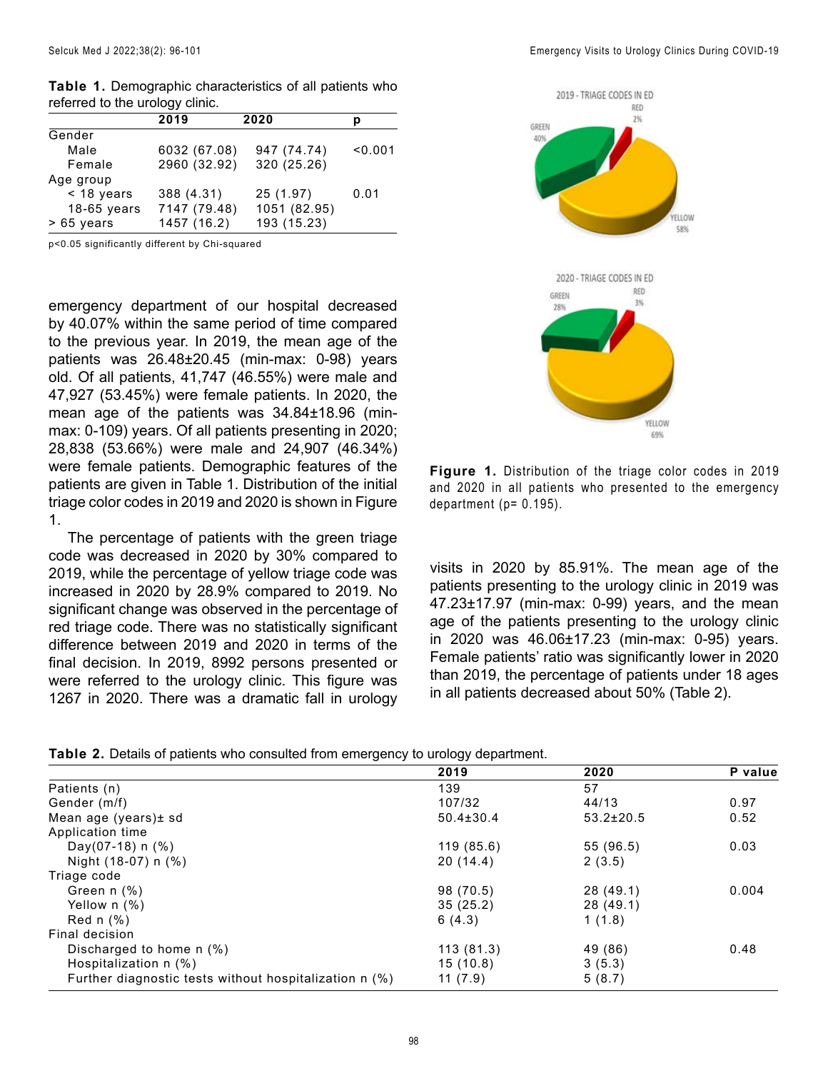|               | 2019         | 2020         | р       |
|---------------|--------------|--------------|---------|
| Gender        |              |              |         |
| Male          | 6032 (67.08) | 947 (74.74)  | < 0.001 |
| Female        | 2960 (32.92) | 320 (25.26)  |         |
| Age group     |              |              |         |
| $<$ 18 years  | 388 (4.31)   | 25 (1.97)    | 0.01    |
| $18-65$ years | 7147 (79.48) | 1051 (82.95) |         |
| $>65$ years   | 1457 (16.2)  | 193 (15.23)  |         |

**Table 1.** Demographic characteristics of all patients who referred to the urology clinic.

p<0.05 significantly different by Chi-squared

emergency department of our hospital decreased by 40.07% within the same period of time compared to the previous year. In 2019, the mean age of the patients was 26.48±20.45 (min-max: 0-98) years old. Of all patients, 41,747 (46.55%) were male and 47,927 (53.45%) were female patients. In 2020, the mean age of the patients was 34.84±18.96 (minmax: 0-109) years. Of all patients presenting in 2020; 28,838 (53.66%) were male and 24,907 (46.34%) were female patients. Demographic features of the patients are given in Table 1. Distribution of the initial triage color codes in 2019 and 2020 is shown in Figure 1.

The percentage of patients with the green triage code was decreased in 2020 by 30% compared to 2019, while the percentage of yellow triage code was increased in 2020 by 28.9% compared to 2019. No significant change was observed in the percentage of red triage code. There was no statistically significant difference between 2019 and 2020 in terms of the final decision. In 2019, 8992 persons presented or were referred to the urology clinic. This figure was 1267 in 2020. There was a dramatic fall in urology



**Figure 1.** Distribution of the triage color codes in 2019 and 2020 in all patients who presented to the emergency department ( $p = 0.195$ ).

visits in 2020 by 85.91%. The mean age of the patients presenting to the urology clinic in 2019 was 47.23±17.97 (min-max: 0-99) years, and the mean age of the patients presenting to the urology clinic in 2020 was 46.06±17.23 (min-max: 0-95) years. Female patients' ratio was significantly lower in 2020 than 2019, the percentage of patients under 18 ages in all patients decreased about 50% (Table 2).

|  | Table 2. Details of patients who consulted from emergency to urology department. |  |  |
|--|----------------------------------------------------------------------------------|--|--|
|--|----------------------------------------------------------------------------------|--|--|

|                                                        | ັ               |                 |         |
|--------------------------------------------------------|-----------------|-----------------|---------|
|                                                        | 2019            | 2020            | P value |
| Patients (n)                                           | 139             | 57              |         |
| Gender (m/f)                                           | 107/32          | 44/13           | 0.97    |
| Mean age (years) ± sd                                  | $50.4 \pm 30.4$ | $53.2 \pm 20.5$ | 0.52    |
| Application time                                       |                 |                 |         |
| Day(07-18) $n$ (%)                                     | 119 (85.6)      | 55 (96.5)       | 0.03    |
| Night (18-07) n (%)                                    | 20 (14.4)       | 2(3.5)          |         |
| Triage code                                            |                 |                 |         |
| Green n (%)                                            | 98 (70.5)       | 28(49.1)        | 0.004   |
| Yellow $n$ (%)                                         | 35(25.2)        | 28(49.1)        |         |
| Red $n$ $%$ )                                          | 6(4.3)          | 1(1.8)          |         |
| Final decision                                         |                 |                 |         |
| Discharged to home $n$ (%)                             | 113(81.3)       | 49 (86)         | 0.48    |
| Hospitalization n (%)                                  | 15(10.8)        | 3(5.3)          |         |
| Further diagnostic tests without hospitalization n (%) | 11(7.9)         | 5(8.7)          |         |
|                                                        |                 |                 |         |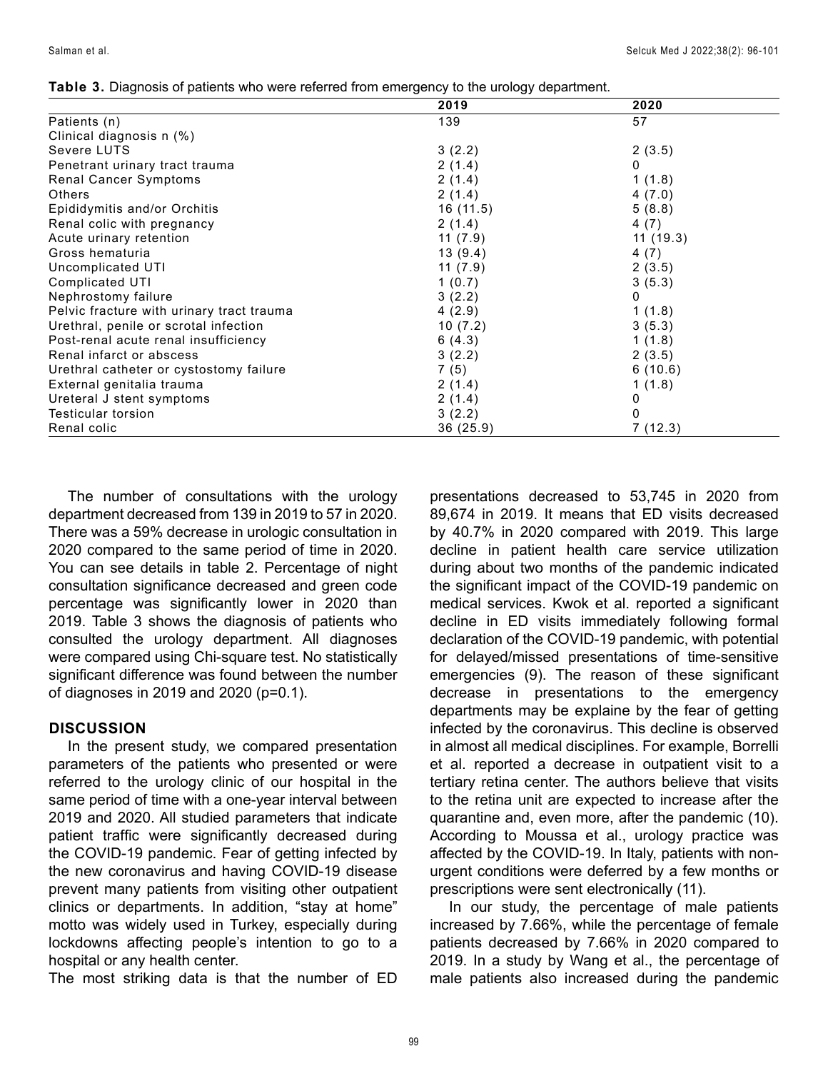| Table 3. Diagnosis of patients who were referred from emergency to the urology department. |  |
|--------------------------------------------------------------------------------------------|--|
|--------------------------------------------------------------------------------------------|--|

|                                           | 2019     | 2020      |
|-------------------------------------------|----------|-----------|
| Patients (n)                              | 139      | 57        |
| Clinical diagnosis n (%)                  |          |           |
| Severe LUTS                               | 3(2.2)   | 2(3.5)    |
| Penetrant urinary tract trauma            | 2(1.4)   | 0         |
| Renal Cancer Symptoms                     | 2(1.4)   | 1(1.8)    |
| Others                                    | 2(1.4)   | 4(7.0)    |
| Epididymitis and/or Orchitis              | 16(11.5) | 5(8.8)    |
| Renal colic with pregnancy                | 2(1.4)   | 4(7)      |
| Acute urinary retention                   | 11(7.9)  | 11 (19.3) |
| Gross hematuria                           | 13(9.4)  | 4(7)      |
| Uncomplicated UTI                         | 11(7.9)  | 2(3.5)    |
| Complicated UTI                           | 1(0.7)   | 3(5.3)    |
| Nephrostomy failure                       | 3(2.2)   | 0         |
| Pelvic fracture with urinary tract trauma | 4(2.9)   | 1(1.8)    |
| Urethral, penile or scrotal infection     | 10(7.2)  | 3(5.3)    |
| Post-renal acute renal insufficiency      | 6(4.3)   | 1(1.8)    |
| Renal infarct or abscess                  | 3(2.2)   | 2(3.5)    |
| Urethral catheter or cystostomy failure   | 7(5)     | 6(10.6)   |
| External genitalia trauma                 | 2(1.4)   | 1(1.8)    |
| Ureteral J stent symptoms                 | 2(1.4)   | 0         |
| Testicular torsion                        | 3(2.2)   | 0         |
| Renal colic                               | 36(25.9) | 7(12.3)   |

The number of consultations with the urology department decreased from 139 in 2019 to 57 in 2020. There was a 59% decrease in urologic consultation in 2020 compared to the same period of time in 2020. You can see details in table 2. Percentage of night consultation significance decreased and green code percentage was significantly lower in 2020 than 2019. Table 3 shows the diagnosis of patients who consulted the urology department. All diagnoses were compared using Chi-square test. No statistically significant difference was found between the number of diagnoses in 2019 and 2020 (p=0.1).

#### **DISCUSSION**

In the present study, we compared presentation parameters of the patients who presented or were referred to the urology clinic of our hospital in the same period of time with a one-year interval between 2019 and 2020. All studied parameters that indicate patient traffic were significantly decreased during the COVID-19 pandemic. Fear of getting infected by the new coronavirus and having COVID-19 disease prevent many patients from visiting other outpatient clinics or departments. In addition, "stay at home" motto was widely used in Turkey, especially during lockdowns affecting people's intention to go to a hospital or any health center.

The most striking data is that the number of ED

presentations decreased to 53,745 in 2020 from 89,674 in 2019. It means that ED visits decreased by 40.7% in 2020 compared with 2019. This large decline in patient health care service utilization during about two months of the pandemic indicated the significant impact of the COVID-19 pandemic on medical services. Kwok et al. reported a significant decline in ED visits immediately following formal declaration of the COVID-19 pandemic, with potential for delayed/missed presentations of time-sensitive emergencies (9). The reason of these significant decrease in presentations to the emergency departments may be explaine by the fear of getting infected by the coronavirus. This decline is observed in almost all medical disciplines. For example, Borrelli et al. reported a decrease in outpatient visit to a tertiary retina center. The authors believe that visits to the retina unit are expected to increase after the quarantine and, even more, after the pandemic (10). According to Moussa et al., urology practice was affected by the COVID-19. In Italy, patients with nonurgent conditions were deferred by a few months or prescriptions were sent electronically (11).

In our study, the percentage of male patients increased by 7.66%, while the percentage of female patients decreased by 7.66% in 2020 compared to 2019. In a study by Wang et al., the percentage of male patients also increased during the pandemic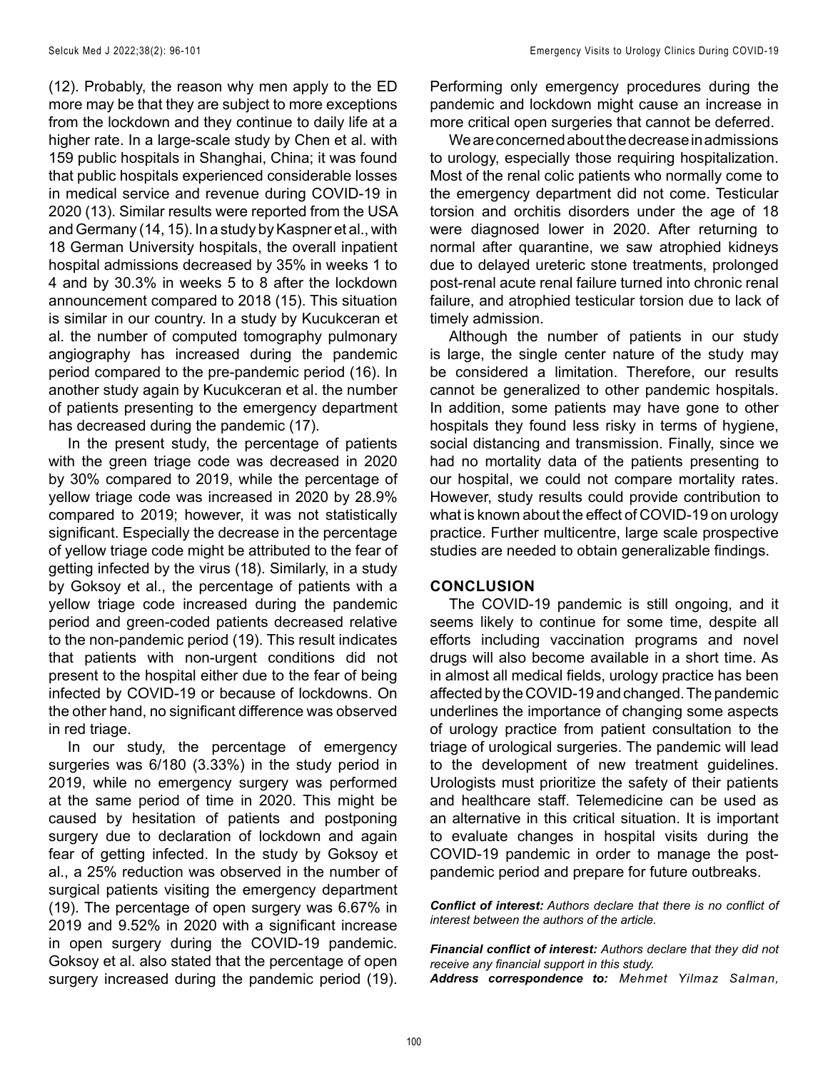(12). Probably, the reason why men apply to the ED more may be that they are subject to more exceptions from the lockdown and they continue to daily life at a higher rate. In a large-scale study by Chen et al. with 159 public hospitals in Shanghai, China; it was found that public hospitals experienced considerable losses in medical service and revenue during COVID-19 in 2020 (13). Similar results were reported from the USA and Germany (14, 15). In a study by Kaspner et al., with 18 German University hospitals, the overall inpatient hospital admissions decreased by 35% in weeks 1 to 4 and by 30.3% in weeks 5 to 8 after the lockdown announcement compared to 2018 (15). This situation is similar in our country. In a study by Kucukceran et al. the number of computed tomography pulmonary angiography has increased during the pandemic period compared to the pre-pandemic period (16). In another study again by Kucukceran et al. the number of patients presenting to the emergency department has decreased during the pandemic (17).

In the present study, the percentage of patients with the green triage code was decreased in 2020 by 30% compared to 2019, while the percentage of yellow triage code was increased in 2020 by 28.9% compared to 2019; however, it was not statistically significant. Especially the decrease in the percentage of yellow triage code might be attributed to the fear of getting infected by the virus (18). Similarly, in a study by Goksoy et al., the percentage of patients with a yellow triage code increased during the pandemic period and green-coded patients decreased relative to the non-pandemic period (19). This result indicates that patients with non-urgent conditions did not present to the hospital either due to the fear of being infected by COVID-19 or because of lockdowns. On the other hand, no significant difference was observed in red triage.

In our study, the percentage of emergency surgeries was 6/180 (3.33%) in the study period in 2019, while no emergency surgery was performed at the same period of time in 2020. This might be caused by hesitation of patients and postponing surgery due to declaration of lockdown and again fear of getting infected. In the study by Goksoy et al., a 25% reduction was observed in the number of surgical patients visiting the emergency department (19). The percentage of open surgery was 6.67% in 2019 and 9.52% in 2020 with a significant increase in open surgery during the COVID-19 pandemic. Goksoy et al. also stated that the percentage of open surgery increased during the pandemic period (19).

Performing only emergency procedures during the pandemic and lockdown might cause an increase in more critical open surgeries that cannot be deferred.

We are concerned about the decrease in admissions to urology, especially those requiring hospitalization. Most of the renal colic patients who normally come to the emergency department did not come. Testicular torsion and orchitis disorders under the age of 18 were diagnosed lower in 2020. After returning to normal after quarantine, we saw atrophied kidneys due to delayed ureteric stone treatments, prolonged post-renal acute renal failure turned into chronic renal failure, and atrophied testicular torsion due to lack of timely admission.

Although the number of patients in our study is large, the single center nature of the study may be considered a limitation. Therefore, our results cannot be generalized to other pandemic hospitals. In addition, some patients may have gone to other hospitals they found less risky in terms of hygiene, social distancing and transmission. Finally, since we had no mortality data of the patients presenting to our hospital, we could not compare mortality rates. However, study results could provide contribution to what is known about the effect of COVID-19 on urology practice. Further multicentre, large scale prospective studies are needed to obtain generalizable findings.

#### **CONCLUSION**

The COVID-19 pandemic is still ongoing, and it seems likely to continue for some time, despite all efforts including vaccination programs and novel drugs will also become available in a short time. As in almost all medical fields, urology practice has been affected by the COVID-19 and changed. The pandemic underlines the importance of changing some aspects of urology practice from patient consultation to the triage of urological surgeries. The pandemic will lead to the development of new treatment guidelines. Urologists must prioritize the safety of their patients and healthcare staff. Telemedicine can be used as an alternative in this critical situation. It is important to evaluate changes in hospital visits during the COVID-19 pandemic in order to manage the postpandemic period and prepare for future outbreaks.

*Conflict of interest: Authors declare that there is no conflict of interest between the authors of the article.*

*Financial conflict of interest: Authors declare that they did not receive any financial support in this study. Address correspondence to: Mehmet Yilmaz Salman,*